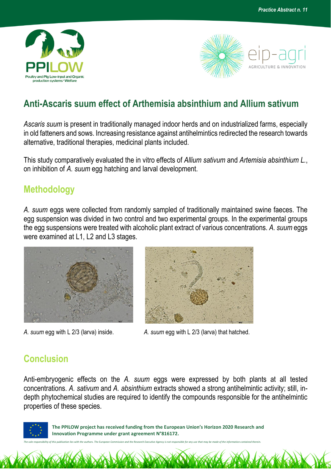



## **Anti-Ascaris suum effect of Arthemisia absinthium and Allium sativum**

*Ascaris suum* is present in traditionally managed indoor herds and on industrialized farms, especially in old fatteners and sows. Increasing resistance against antihelmintics redirected the research towards alternative, traditional therapies, medicinal plants included.

This study comparatively evaluated the in vitro effects of *Allium sativum* and *Artemisia absinthium L.*, on inhibition of *A. suum* egg hatching and larval development.

## **Methodology**

*A. suum* eggs were collected from randomly sampled of traditionally maintained swine faeces. The egg suspension was divided in two control and two experimental groups. In the experimental groups the egg suspensions were treated with alcoholic plant extract of various concentrations. *A. suum* eggs were examined at L1, L2 and L3 stages.





*A. suum* egg with L 2/3 (larva) inside. *A. suum* egg with L 2/3 (larva) that hatched.

## **Conclusion**

Anti-embryogenic effects on the *A. suum* eggs were expressed by both plants at all tested concentrations. *A. sativum* and *A. absinthium* extracts showed a strong antihelmintic activity; still, indepth phytochemical studies are required to identify the compounds responsible for the antihelmintic properties of these species.



 **The PPILOW project has received funding from the European Union's Horizon 2020 Research and Innovation Programme under grant agreement N°816172.**

*The sole responsibility of this publication lies with the authors. The European Commission and the Research Executive Agency is not responsible for any use that may be made of the information contained therein.*